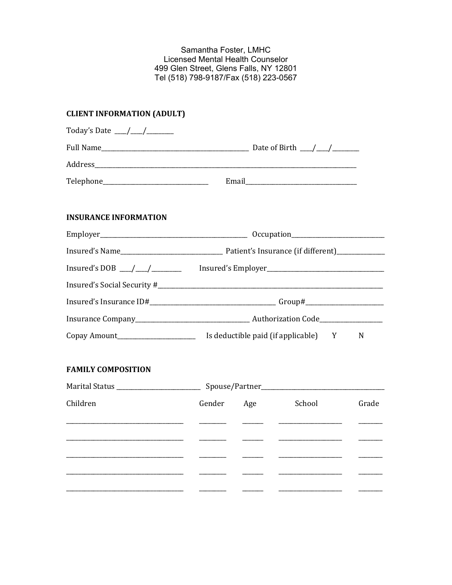Samantha Foster, LMHC Licensed Mental Health Counselor 499 Glen Street, Glens Falls, NY 12801 Tel (518) 798-9187/Fax (518) 223-0567

# **CLIENT INFORMATION (ADULT)**

| Today's Date ___/___/______                     |                                                                                   |                          |        |       |
|-------------------------------------------------|-----------------------------------------------------------------------------------|--------------------------|--------|-------|
|                                                 |                                                                                   |                          |        |       |
|                                                 |                                                                                   |                          |        |       |
| Telephone_______________________________        |                                                                                   |                          |        |       |
| <b>INSURANCE INFORMATION</b>                    |                                                                                   |                          |        |       |
|                                                 |                                                                                   |                          |        |       |
|                                                 |                                                                                   |                          |        |       |
|                                                 | Insured's DOB __________________________ Insured's Employer______________________ |                          |        |       |
|                                                 |                                                                                   |                          |        |       |
|                                                 |                                                                                   |                          |        |       |
|                                                 |                                                                                   |                          |        |       |
|                                                 |                                                                                   |                          |        | N     |
| <b>FAMILY COMPOSITION</b>                       |                                                                                   |                          |        |       |
| Marital Status ___________________________      |                                                                                   |                          |        |       |
| Children                                        | Gender                                                                            | Age                      | School | Grade |
| <u> 1980 - Johann John Stone, mars et al. (</u> |                                                                                   |                          |        |       |
|                                                 |                                                                                   | $\overline{\phantom{a}}$ |        |       |
|                                                 |                                                                                   |                          |        |       |
|                                                 |                                                                                   | $\frac{1}{1}$            |        |       |
|                                                 |                                                                                   |                          |        |       |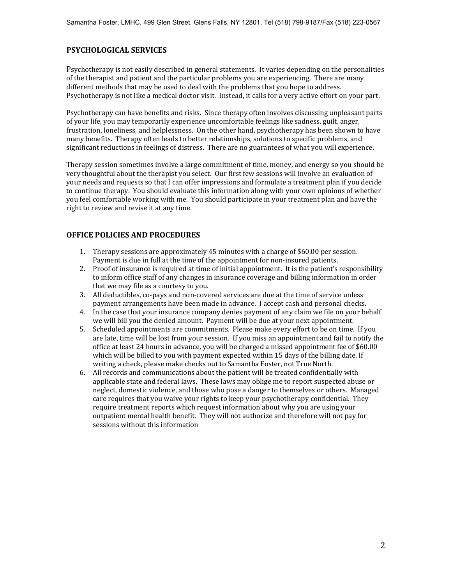#### **PSYCHOLOGICAL SERVICES**

Psychotherapy is not easily described in general statements. It varies depending on the personalities of the therapist and patient and the particular problems you are experiencing. There are many different methods that may be used to deal with the problems that you hope to address. Psychotherapy is not like a medical doctor visit. Instead, it calls for a very active effort on your part.

Psychotherapy can have benefits and risks. Since therapy often involves discussing unpleasant parts of your life, you may temporarily experience uncomfortable feelings like sadness, guilt, anger, frustration, loneliness, and helplessness. On the other hand, psychotherapy has been shown to have many benefits. Therapy often leads to better relationships, solutions to specific problems, and significant reductions in feelings of distress. There are no guarantees of what you will experience.

Therapy session sometimes involve a large commitment of time, money, and energy so you should be very thoughtful about the therapist you select. Our first few sessions will involve an evaluation of your needs and requests so that I can offer impressions and formulate a treatment plan if you decide to continue therapy. You should evaluate this information along with your own opinions of whether you feel comfortable working with me. You should participate in your treatment plan and have the right to review and revise it at any time.

#### **OFFICE POLICIES AND PROCEDURES**

- 1. Therapy sessions are approximately 45 minutes with a charge of \$60.00 per session. Payment is due in full at the time of the appointment for non-insured patients.
- 2. Proof of insurance is required at time of initial appointment. It is the patient's responsibility to inform office staff of any changes in insurance coverage and billing information in order that we may file as a courtesy to you.
- 3. All deductibles, co-pays and non-covered services are due at the time of service unless payment arrangements have been made in advance. I accept cash and personal checks.
- 4. In the case that your insurance company denies payment of any claim we file on your behalf we will bill you the denied amount. Payment will be due at your next appointment.
- 5. Scheduled appointments are commitments. Please make every effort to be on time. If you are late, time will be lost from your session. If you miss an appointment and fail to notify the office at least 24 hours in advance, you will be charged a missed appointment fee of \$60.00 which will be billed to you with payment expected within 15 days of the billing date. If writing a check, please make checks out to Samantha Foster, not True North.
- 6. All records and communications about the patient will be treated confidentially with applicable state and federal laws. These laws may oblige me to report suspected abuse or neglect, domestic violence, and those who pose a danger to themselves or others. Managed care requires that you waive your rights to keep your psychotherapy confidential. They require treatment reports which request information about why you are using your outpatient mental health benefit. They will not authorize and therefore will not pay for sessions without this information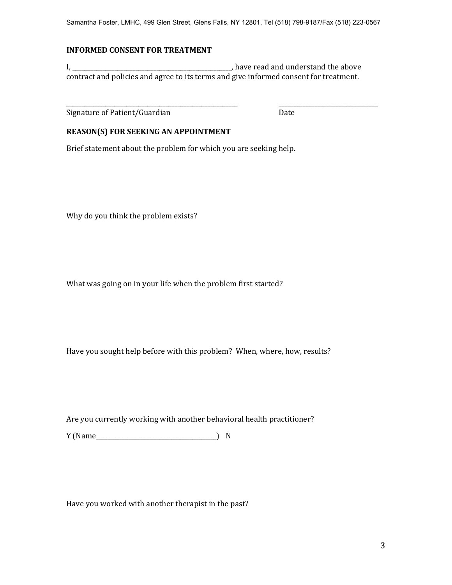#### **INFORMED CONSENT FOR TREATMENT**

I, \_\_\_\_\_\_\_\_\_\_\_\_\_\_\_\_\_\_\_\_\_\_\_\_\_\_\_\_\_\_\_\_\_\_\_\_\_\_\_\_\_\_\_\_\_\_\_\_\_\_\_\_\_, have read and understand the above contract and policies and agree to its terms and give informed consent for treatment.

\_\_\_\_\_\_\_\_\_\_\_\_\_\_\_\_\_\_\_\_\_\_\_\_\_\_\_\_\_\_\_\_\_\_\_\_\_\_\_\_\_\_\_\_\_\_\_\_\_\_\_\_\_\_\_\_\_ \_\_\_\_\_\_\_\_\_\_\_\_\_\_\_\_\_\_\_\_\_\_\_\_\_\_\_\_\_\_\_\_\_

Signature of Patient/Guardian Date

## **REASON(S) FOR SEEKING AN APPOINTMENT**

Brief statement about the problem for which you are seeking help.

Why do you think the problem exists?

What was going on in your life when the problem first started?

Have you sought help before with this problem? When, where, how, results?

Are you currently working with another behavioral health practitioner?

Y (Name\_\_\_\_\_\_\_\_\_\_\_\_\_\_\_\_\_\_\_\_\_\_\_\_\_\_\_\_\_\_\_\_\_\_\_\_\_\_\_\_) N

Have you worked with another therapist in the past?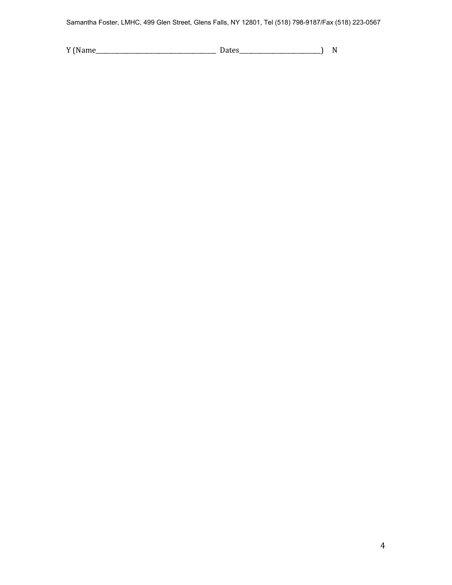Samantha Foster, LMHC, 499 Glen Street, Glens Falls, NY 12801, Tel (518) 798-9187/Fax (518) 223-0567

| ۷ſ |  |  |
|----|--|--|
|    |  |  |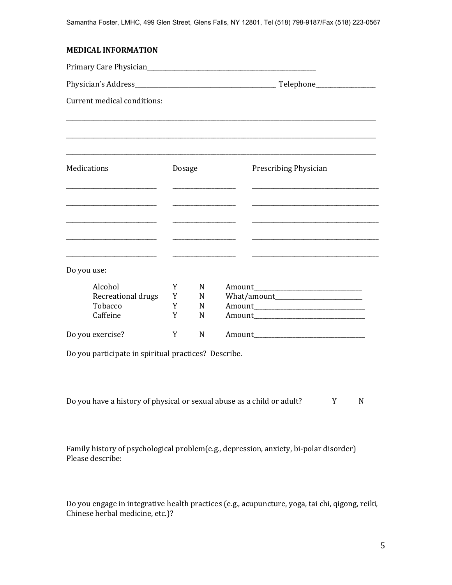Primary Care Physician\_\_\_\_\_\_\_\_\_\_\_\_\_\_\_\_\_\_\_\_\_\_\_\_\_\_\_\_\_\_\_\_\_\_\_\_\_\_\_\_\_\_\_\_\_\_\_\_\_\_\_\_\_\_\_\_

Physician's Address\_\_\_\_\_\_\_\_\_\_\_\_\_\_\_\_\_\_\_\_\_\_\_\_\_\_\_\_\_\_\_\_\_\_\_\_\_\_\_\_\_\_\_\_\_\_\_ Telephone\_\_\_\_\_\_\_\_\_\_\_\_\_\_\_\_\_\_\_\_

Current medical conditions:

| Medications          | Dosage |   | Prescribing Physician |
|----------------------|--------|---|-----------------------|
|                      |        |   |                       |
|                      |        |   |                       |
|                      |        |   |                       |
|                      |        |   |                       |
| Do you use:          |        |   |                       |
| Alcohol              | Y      | N |                       |
| Recreational drugs Y |        | N |                       |
| Tobacco              | Y      | N |                       |
| Caffeine             | Y      | N |                       |
| Do you exercise?     | Y      | N | Amount                |

Do you participate in spiritual practices? Describe.

| Do you have a history of physical or sexual abuse as a child or adult? |  |  |
|------------------------------------------------------------------------|--|--|
|------------------------------------------------------------------------|--|--|

Family history of psychological problem(e.g., depression, anxiety, bi-polar disorder) Please describe:

Do you engage in integrative health practices (e.g., acupuncture, yoga, tai chi, qigong, reiki, Chinese herbal medicine, etc.)?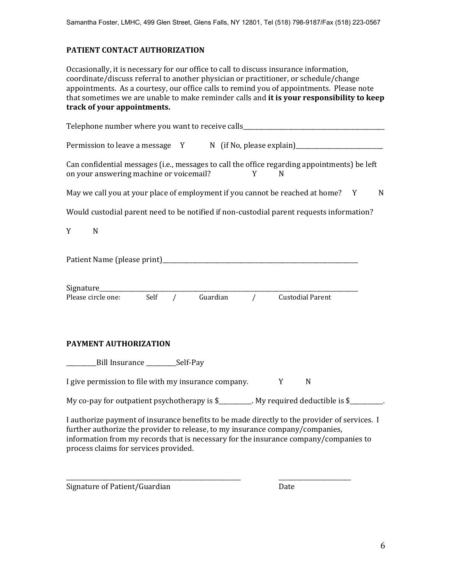## **PATIENT CONTACT AUTHORIZATION**

Occasionally, it is necessary for our office to call to discuss insurance information, coordinate/discuss referral to another physician or practitioner, or schedule/change appointments. As a courtesy, our office calls to remind you of appointments. Please note that sometimes we are unable to make reminder calls and **it is your responsibility to keep track of your appointments.** 

| Telephone number where you want to receive calls________________________________                                                                                                                                                                                                                               |
|----------------------------------------------------------------------------------------------------------------------------------------------------------------------------------------------------------------------------------------------------------------------------------------------------------------|
| Permission to leave a message Y N (if No, please explain)_______________________                                                                                                                                                                                                                               |
| Can confidential messages (i.e., messages to call the office regarding appointments) be left<br>on your answering machine or voicemail?<br>Y<br>N                                                                                                                                                              |
| May we call you at your place of employment if you cannot be reached at home? Y<br>N                                                                                                                                                                                                                           |
| Would custodial parent need to be notified if non-custodial parent requests information?                                                                                                                                                                                                                       |
| Y<br>$\mathbf N$                                                                                                                                                                                                                                                                                               |
|                                                                                                                                                                                                                                                                                                                |
| Signature_________<br>Guardian<br>Self<br>$\sqrt{ }$<br><b>Custodial Parent</b><br>Please circle one:<br>$\overline{1}$                                                                                                                                                                                        |
| PAYMENT AUTHORIZATION                                                                                                                                                                                                                                                                                          |
| Bill Insurance _______________Self-Pay                                                                                                                                                                                                                                                                         |
| I give permission to file with my insurance company.<br>Y<br>N                                                                                                                                                                                                                                                 |
| My co-pay for outpatient psychotherapy is \$________. My required deductible is \$_______                                                                                                                                                                                                                      |
| I authorize payment of insurance benefits to be made directly to the provider of services. I<br>further authorize the provider to release, to my insurance company/companies,<br>information from my records that is necessary for the insurance company/companies to<br>process claims for services provided. |
|                                                                                                                                                                                                                                                                                                                |

Signature of Patient/Guardian Date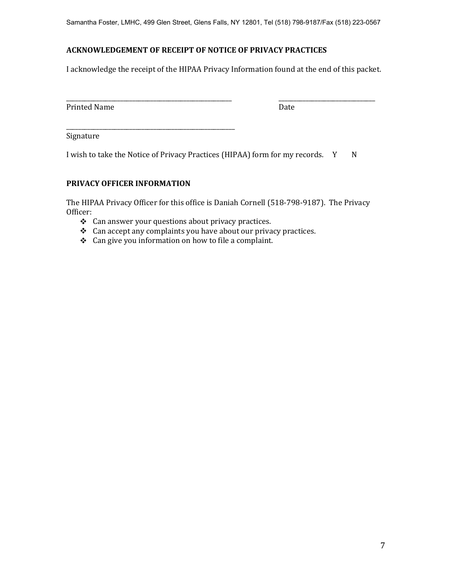Samantha Foster, LMHC, 499 Glen Street, Glens Falls, NY 12801, Tel (518) 798-9187/Fax (518) 223-0567

# **ACKNOWLEDGEMENT OF RECEIPT OF NOTICE OF PRIVACY PRACTICES**

I acknowledge the receipt of the HIPAA Privacy Information found at the end of this packet.

| _                           |     |
|-----------------------------|-----|
| Printed<br>ב עו<br>1111.COM | புப |

Signature

I wish to take the Notice of Privacy Practices (HIPAA) form for my records. Y N

# **PRIVACY OFFICER INFORMATION**

\_\_\_\_\_\_\_\_\_\_\_\_\_\_\_\_\_\_\_\_\_\_\_\_\_\_\_\_\_\_\_\_\_\_\_\_\_\_\_\_\_\_\_\_\_\_\_\_\_\_\_\_\_\_\_\_

The HIPAA Privacy Officer for this office is Daniah Cornell (518-798-9187). The Privacy Officer:

- \* Can answer your questions about privacy practices.
- $\triangleleft$  Can accept any complaints you have about our privacy practices.
- Can give you information on how to file a complaint.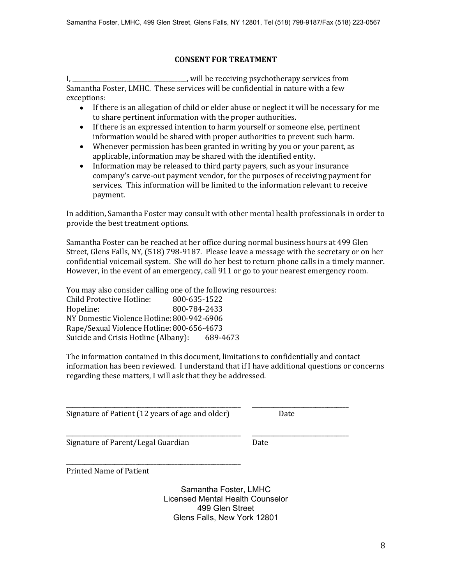## **CONSENT FOR TREATMENT**

I, \_\_\_\_\_\_\_\_\_\_\_\_\_\_\_\_\_\_\_\_\_\_\_\_\_\_\_\_\_\_\_\_, will be receiving psychotherapy services from Samantha Foster, LMHC. These services will be confidential in nature with a few exceptions:

- If there is an allegation of child or elder abuse or neglect it will be necessary for me to share pertinent information with the proper authorities.
- If there is an expressed intention to harm yourself or someone else, pertinent information would be shared with proper authorities to prevent such harm.
- Whenever permission has been granted in writing by you or your parent, as applicable, information may be shared with the identified entity.
- Information may be released to third party payers, such as your insurance company's carve-out payment vendor, for the purposes of receiving payment for services. This information will be limited to the information relevant to receive payment.

In addition, Samantha Foster may consult with other mental health professionals in order to provide the best treatment options.

Samantha Foster can be reached at her office during normal business hours at 499 Glen Street, Glens Falls, NY, (518) 798-9187. Please leave a message with the secretary or on her confidential voicemail system. She will do her best to return phone calls in a timely manner. However, in the event of an emergency, call 911 or go to your nearest emergency room.

You may also consider calling one of the following resources: Child Protective Hotline: 800-635-1522 Hopeline: 800-784-2433 NY Domestic Violence Hotline:800-942-6906 Rape/Sexual Violence Hotline: 800-656-4673 Suicide and Crisis Hotline (Albany): 689-4673

The information contained in this document, limitations to confidentially and contact information has been reviewed. I understand that if I have additional questions or concerns regarding these matters, I will ask that they be addressed.

\_\_\_\_\_\_\_\_\_\_\_\_\_\_\_\_\_\_\_\_\_\_\_\_\_\_\_\_\_\_\_\_\_\_\_\_\_\_\_\_\_\_\_\_\_\_\_\_\_\_\_\_\_\_\_\_\_\_ \_\_\_\_\_\_\_\_\_\_\_\_\_\_\_\_\_\_\_\_\_\_\_\_\_\_\_\_\_\_\_\_

Signature of Patient (12 years of age and older) Date

Signature of Parent/Legal Guardian Date

\_\_\_\_\_\_\_\_\_\_\_\_\_\_\_\_\_\_\_\_\_\_\_\_\_\_\_\_\_\_\_\_\_\_\_\_\_\_\_\_\_\_\_\_\_\_\_\_\_\_\_\_\_\_\_\_\_\_ \_\_\_\_\_\_\_\_\_\_\_\_\_\_\_\_\_\_\_\_\_\_\_\_\_\_\_\_\_\_\_\_

\_\_\_\_\_\_\_\_\_\_\_\_\_\_\_\_\_\_\_\_\_\_\_\_\_\_\_\_\_\_\_\_\_\_\_\_\_\_\_\_\_\_\_\_\_\_\_\_\_\_\_\_\_\_\_\_\_\_ Printed Name of Patient

> Samantha Foster, LMHC Licensed Mental Health Counselor 499 Glen Street Glens Falls, New York 12801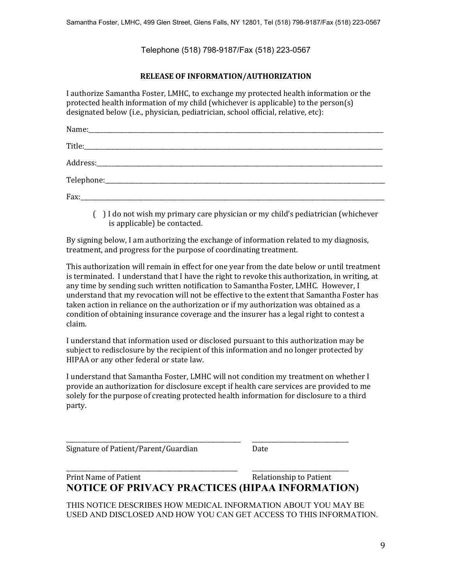Telephone (518) 798-9187/Fax (518) 223-0567

#### **RELEASE OF INFORMATION/AUTHORIZATION**

I authorize Samantha Foster, LMHC, to exchange my protected health information or the protected health information of my child (whichever is applicable) to the person(s) designated below (i.e., physician, pediatrician, school official, relative, etc):

( ) I do not wish my primary care physician or my child's pediatrician (whichever is applicable) be contacted.

By signing below, I am authorizing the exchange of information related to my diagnosis, treatment, and progress for the purpose of coordinating treatment.

This authorization will remain in effect for one year from the date below or until treatment is terminated. I understand that I have the right to revoke this authorization, in writing, at any time by sending such written notification to Samantha Foster, LMHC. However, I understand that my revocation will not be effective to the extent that Samantha Foster has taken action in reliance on the authorization or if my authorization was obtained as a condition of obtaining insurance coverage and the insurer has a legal right to contest a claim.

I understand that information used or disclosed pursuant to this authorization may be subject to redisclosure by the recipient of this information and no longer protected by HIPAA or any other federal or state law.

I understand that Samantha Foster, LMHC will not condition my treatment on whether I provide an authorization for disclosure except if health care services are provided to me solely for the purpose of creating protected health information for disclosure to a third party.

\_\_\_\_\_\_\_\_\_\_\_\_\_\_\_\_\_\_\_\_\_\_\_\_\_\_\_\_\_\_\_\_\_\_\_\_\_\_\_\_\_\_\_\_\_\_\_\_\_\_\_\_\_\_\_\_\_\_ \_\_\_\_\_\_\_\_\_\_\_\_\_\_\_\_\_\_\_\_\_\_\_\_\_\_\_\_\_\_\_\_ Signature of Patient/Parent/Guardian Date

Print Name of Patient  $\blacksquare$ **NOTICE OF PRIVACY PRACTICES (HIPAA INFORMATION)**

\_\_\_\_\_\_\_\_\_\_\_\_\_\_\_\_\_\_\_\_\_\_\_\_\_\_\_\_\_\_\_\_\_\_\_\_\_\_\_\_\_\_\_\_\_\_\_\_\_\_\_\_\_\_\_\_\_ \_\_\_\_\_\_\_\_\_\_\_\_\_\_\_\_\_\_\_\_\_\_\_\_\_\_\_\_\_\_\_\_

THIS NOTICE DESCRIBES HOW MEDICAL INFORMATION ABOUT YOU MAY BE USED AND DISCLOSED AND HOW YOU CAN GET ACCESS TO THIS INFORMATION.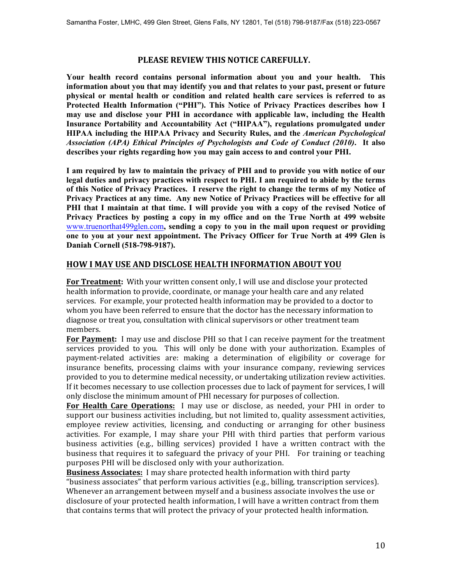#### **PLEASE REVIEW THIS NOTICE CAREFULLY.**

**Your health record contains personal information about you and your health. This information about you that may identify you and that relates to your past, present or future physical or mental health or condition and related health care services is referred to as Protected Health Information ("PHI"). This Notice of Privacy Practices describes how I may use and disclose your PHI in accordance with applicable law, including the Health Insurance Portability and Accountability Act ("HIPAA"), regulations promulgated under HIPAA including the HIPAA Privacy and Security Rules, and the** *American Psychological Association (APA) Ethical Principles of Psychologists and Code of Conduct (2010)***. It also describes your rights regarding how you may gain access to and control your PHI.** 

**I am required by law to maintain the privacy of PHI and to provide you with notice of our legal duties and privacy practices with respect to PHI. I am required to abide by the terms of this Notice of Privacy Practices. I reserve the right to change the terms of my Notice of Privacy Practices at any time. Any new Notice of Privacy Practices will be effective for all PHI that I maintain at that time. I will provide you with a copy of the revised Notice of Privacy Practices by posting a copy in my office and on the True North at 499 website**  [www.truenorthat499glen.com](http://www.truenorthat499glen.com)**, sending a copy to you in the mail upon request or providing one to you at your next appointment. The Privacy Officer for True North at 499 Glen is Daniah Cornell (518-798-9187).** 

# **HOW I MAY USE AND DISCLOSE HEALTH INFORMATION ABOUT YOU**

**For Treatment:** With your written consent only, I will use and disclose your protected health information to provide, coordinate, or manage your health care and any related services. For example, your protected health information may be provided to a doctor to whom you have been referred to ensure that the doctor has the necessary information to diagnose or treat you, consultation with clinical supervisors or other treatment team members.

**For Payment:** I may use and disclose PHI so that I can receive payment for the treatment services provided to you. This will only be done with your authorization. Examples of payment-related activities are: making a determination of eligibility or coverage for insurance benefits, processing claims with your insurance company, reviewing services provided to you to determine medical necessity, or undertaking utilization review activities. If it becomes necessary to use collection processes due to lack of payment for services, I will only disclose the minimum amount of PHI necessary for purposes of collection.

**For Health Care Operations:** I may use or disclose, as needed, your PHI in order to support our business activities including, but not limited to, quality assessment activities, employee review activities, licensing, and conducting or arranging for other business activities. For example, I may share your PHI with third parties that perform various business activities (e.g., billing services) provided I have a written contract with the business that requires it to safeguard the privacy of your PHI. For training or teaching purposes PHI will be disclosed only with your authorization.

**Business Associates:** I may share protected health information with third party "business associates" that perform various activities (e.g., billing, transcription services). Whenever an arrangement between myself and a business associate involves the use or disclosure of your protected health information, I will have a written contract from them that contains terms that will protect the privacy of your protected health information.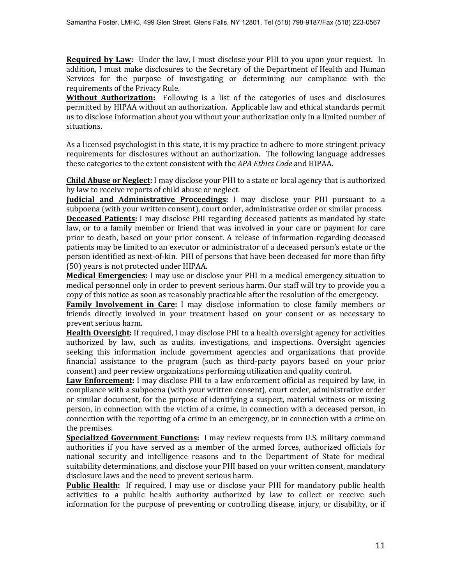**Required by Law:** Under the law, I must disclose your PHI to you upon your request. In addition, I must make disclosures to the Secretary of the Department of Health and Human Services for the purpose of investigating or determining our compliance with the requirements of the Privacy Rule.

**Without Authorization:** Following is a list of the categories of uses and disclosures permitted by HIPAA without an authorization. Applicable law and ethical standards permit us to disclose information about you without your authorization only in a limited number of situations.

As a licensed psychologist in this state, it is my practice to adhere to more stringent privacy requirements for disclosures without an authorization. The following language addresses these categories to the extent consistent with the *APA Ethics Code* and HIPAA.

**Child Abuse or Neglect:** I may disclose your PHI to a state or local agency that is authorized by law to receive reports of child abuse or neglect.

**Judicial and Administrative Proceedings:** I may disclose your PHI pursuant to a subpoena (with your written consent), court order, administrative order or similar process. **Deceased Patients:** I may disclose PHI regarding deceased patients as mandated by state law, or to a family member or friend that was involved in your care or payment for care prior to death, based on your prior consent. A release of information regarding deceased patients may be limited to an executor or administrator of a deceased person's estate or the person identified as next-of-kin. PHI of persons that have been deceased for more than fifty (50) years is not protected under HIPAA.

**Medical Emergencies:** I may use or disclose your PHI in a medical emergency situation to medical personnel only in order to prevent serious harm. Our staff will try to provide you a copy of this notice as soon as reasonably practicable after the resolution of the emergency.

**Family Involvement in Care:** I may disclose information to close family members or friends directly involved in your treatment based on your consent or as necessary to prevent serious harm.

**Health Oversight:** If required, I may disclose PHI to a health oversight agency for activities authorized by law, such as audits, investigations, and inspections. Oversight agencies seeking this information include government agencies and organizations that provide financial assistance to the program (such as third-party payors based on your prior consent) and peer review organizations performing utilization and quality control.

**Law Enforcement:** I may disclose PHI to a law enforcement official as required by law, in compliance with a subpoena (with your written consent), court order, administrative order or similar document, for the purpose of identifying a suspect, material witness or missing person, in connection with the victim of a crime, in connection with a deceased person, in connection with the reporting of a crime in an emergency, or in connection with a crime on the premises.

**Specialized Government Functions:** I may review requests from U.S. military command authorities if you have served as a member of the armed forces, authorized officials for national security and intelligence reasons and to the Department of State for medical suitability determinations, and disclose your PHI based on your written consent, mandatory disclosure laws and the need to prevent serious harm.

**Public Health:** If required, I may use or disclose your PHI for mandatory public health activities to a public health authority authorized by law to collect or receive such information for the purpose of preventing or controlling disease, injury, or disability, or if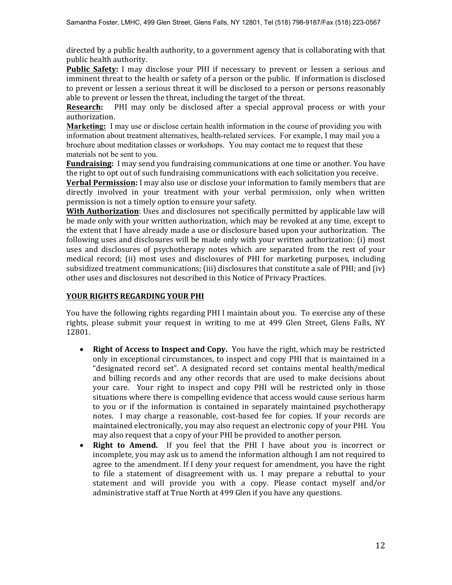directed by a public health authority, to a government agency that is collaborating with that public health authority.

Public Safety: I may disclose your PHI if necessary to prevent or lessen a serious and imminent threat to the health or safety of a person or the public. If information is disclosed to prevent or lessen a serious threat it will be disclosed to a person or persons reasonably able to prevent or lessen the threat, including the target of the threat.

**Research:** PHI may only be disclosed after a special approval process or with your authorization.

**Marketing:** I may use or disclose certain health information in the course of providing you with information about treatment alternatives, health-related services. For example, I may mail you a brochure about meditation classes or workshops. You may contact me to request that these materials not be sent to you.

**Fundraising:** I may send you fundraising communications at one time or another. You have the right to opt out of such fundraising communications with each solicitation you receive.

**Verbal Permission:** I may also use or disclose your information to family members that are directly involved in your treatment with your verbal permission, only when written permission is not a timely option to ensure your safety.

**With Authorization**: Uses and disclosures not specifically permitted by applicable law will be made only with your written authorization, which may be revoked at any time, except to the extent that I have already made a use or disclosure based upon your authorization. The following uses and disclosures will be made only with your written authorization: (i) most uses and disclosures of psychotherapy notes which are separated from the rest of your medical record; (ii) most uses and disclosures of PHI for marketing purposes, including subsidized treatment communications; (iii) disclosures that constitute a sale of PHI; and (iv) other uses and disclosures not described in this Notice of Privacy Practices.

#### **YOUR RIGHTS REGARDING YOUR PHI**

You have the following rights regarding PHI I maintain about you. To exercise any of these rights, please submit your request in writing to me at 499 Glen Street, Glens Falls, NY 12801.

- Right of Access to Inspect and Copy. You have the right, which may be restricted only in exceptional circumstances, to inspect and copy PHI that is maintained in a "designated record set". A designated record set contains mental health/medical and billing records and any other records that are used to make decisions about your care. Your right to inspect and copy PHI will be restricted only in those situations where there is compelling evidence that access would cause serious harm to you or if the information is contained in separately maintained psychotherapy notes. I may charge a reasonable, cost-based fee for copies. If your records are maintained electronically, you may also request an electronic copy of your PHI. You may also request that a copy of your PHI be provided to another person.
- x **Right to Amend.** If you feel that the PHI I have about you is incorrect or incomplete, you may ask us to amend the information although I am not required to agree to the amendment. If I deny your request for amendment, you have the right to file a statement of disagreement with us. I may prepare a rebuttal to your statement and will provide you with a copy. Please contact myself and/or administrative staff at True North at 499 Glen if you have any questions.